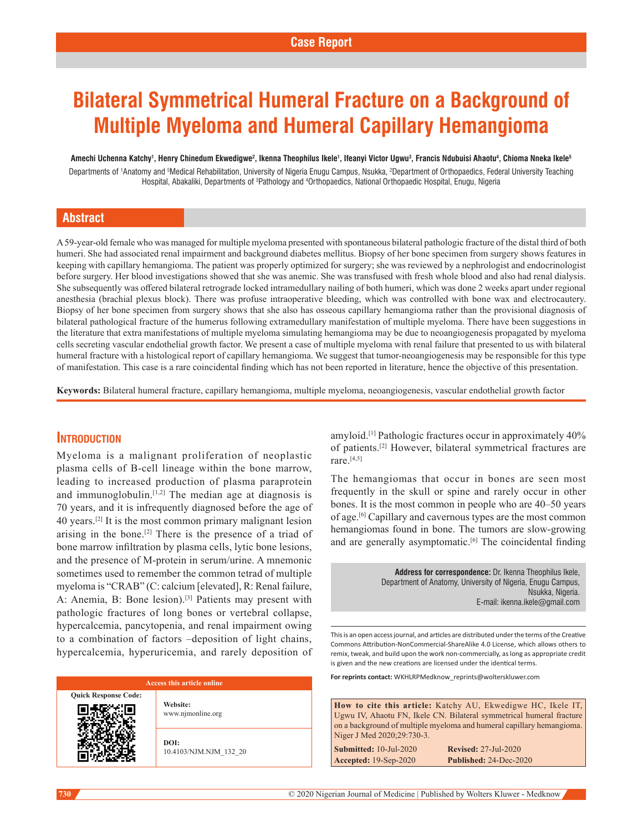# **Bilateral Symmetrical Humeral Fracture on a Background of Multiple Myeloma and Humeral Capillary Hemangioma**

Amechi Uchenna Katchy<sup>1</sup>, Henry Chinedum Ekwedigwe<sup>2</sup>, Ikenna Theophilus Ikele<sup>1</sup>, Ifeanyi Victor Ugwu<sup>3</sup>, Francis Ndubuisi Ahaotu<sup>4</sup>, Chioma Nneka Ikele<sup>5</sup>

Departments of 1Anatomy and <sup>s</sup>Medical Rehabilitation, University of Nigeria Enugu Campus, Nsukka, <sup>2</sup>Department of Orthopaedics, Federal University Teaching Hospital, Abakaliki, Departments of <sup>3</sup>Pathology and <sup>4</sup>Orthopaedics, National Orthopaedic Hospital, Enugu, Nigeria

## **Abstract**

A 59-year-old female who was managed for multiple myeloma presented with spontaneous bilateral pathologic fracture of the distal third of both humeri. She had associated renal impairment and background diabetes mellitus. Biopsy of her bone specimen from surgery shows features in keeping with capillary hemangioma. The patient was properly optimized for surgery; she was reviewed by a nephrologist and endocrinologist before surgery. Her blood investigations showed that she was anemic. She was transfused with fresh whole blood and also had renal dialysis. She subsequently was offered bilateral retrograde locked intramedullary nailing of both humeri, which was done 2 weeks apart under regional anesthesia (brachial plexus block). There was profuse intraoperative bleeding, which was controlled with bone wax and electrocautery. Biopsy of her bone specimen from surgery shows that she also has osseous capillary hemangioma rather than the provisional diagnosis of bilateral pathological fracture of the humerus following extramedullary manifestation of multiple myeloma. There have been suggestions in the literature that extra manifestations of multiple myeloma simulating hemangioma may be due to neoangiogenesis propagated by myeloma cells secreting vascular endothelial growth factor. We present a case of multiple myeloma with renal failure that presented to us with bilateral humeral fracture with a histological report of capillary hemangioma. We suggest that tumor-neoangiogenesis may be responsible for this type of manifestation. This case is a rare coincidental finding which has not been reported in literature, hence the objective of this presentation.

**Keywords:** Bilateral humeral fracture, capillary hemangioma, multiple myeloma, neoangiogenesis, vascular endothelial growth factor

## **Introduction**

Myeloma is a malignant proliferation of neoplastic plasma cells of B-cell lineage within the bone marrow, leading to increased production of plasma paraprotein and immunoglobulin. $[1,2]$  The median age at diagnosis is 70 years, and it is infrequently diagnosed before the age of 40 years.[2] It is the most common primary malignant lesion arising in the bone.<sup>[2]</sup> There is the presence of a triad of bone marrow infiltration by plasma cells, lytic bone lesions, and the presence of M‑protein in serum/urine. A mnemonic sometimes used to remember the common tetrad of multiple myeloma is "CRAB" (C: calcium [elevated], R: Renal failure, A: Anemia, B: Bone lesion).<sup>[3]</sup> Patients may present with pathologic fractures of long bones or vertebral collapse, hypercalcemia, pancytopenia, and renal impairment owing to a combination of factors –deposition of light chains, hypercalcemia, hyperuricemia, and rarely deposition of

#### **Access this article online**

**Quick Response Code: Website:** www.njmonline.org

**DOI:**

10.4103/NJM.NJM\_132\_20

amyloid.[1] Pathologic fractures occur in approximately 40% of patients.[2] However, bilateral symmetrical fractures are rare.[4,5]

The hemangiomas that occur in bones are seen most frequently in the skull or spine and rarely occur in other bones. It is the most common in people who are 40–50 years of age.[6] Capillary and cavernous types are the most common hemangiomas found in bone. The tumors are slow-growing and are generally asymptomatic.<sup>[6]</sup> The coincidental finding

> **Address for correspondence:** Dr. Ikenna Theophilus Ikele, Department of Anatomy, University of Nigeria, Enugu Campus, Nsukka, Nigeria. E-mail: ikenna.ikele@gmail.com

This is an open access journal, and articles are distributed under the terms of the Creative Commons Attribution‑NonCommercial‑ShareAlike 4.0 License, which allows others to remix, tweak, and build upon the work non‑commercially, as long as appropriate credit is given and the new creations are licensed under the identical terms.

**For reprints contact:** WKHLRPMedknow\_reprints@wolterskluwer.com

**How to cite this article:** Katchy AU, Ekwedigwe HC, Ikele IT, Ugwu IV, Ahaotu FN, Ikele CN. Bilateral symmetrical humeral fracture on a background of multiple myeloma and humeral capillary hemangioma. Niger J Med 2020;29:730-3. **Submitted:** 10-Jul-2020 **Revised:** 27-Jul-2020

**Accepted:** 19-Sep-2020 **Published:** 24-Dec-2020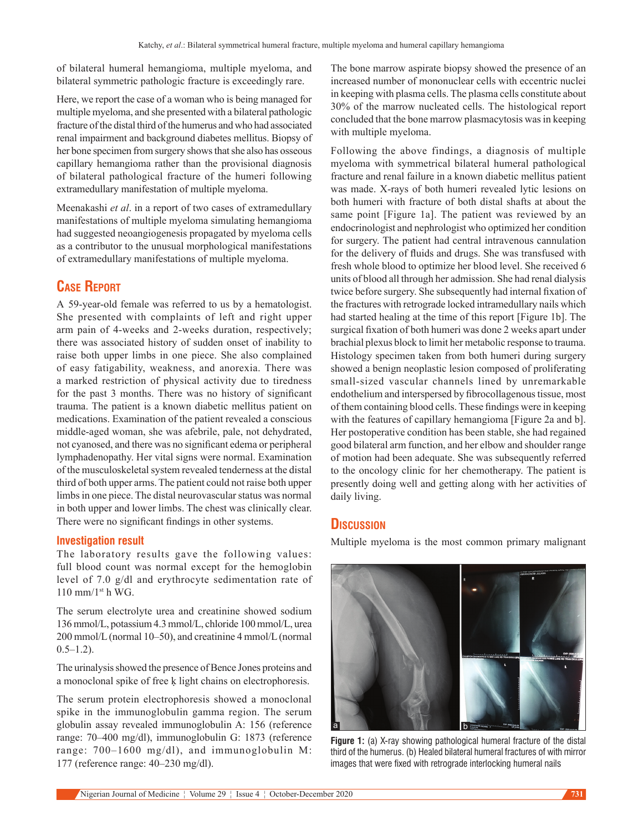of bilateral humeral hemangioma, multiple myeloma, and bilateral symmetric pathologic fracture is exceedingly rare.

Here, we report the case of a woman who is being managed for multiple myeloma, and she presented with a bilateral pathologic fracture of the distal third of the humerus and who had associated renal impairment and background diabetes mellitus. Biopsy of her bone specimen from surgery shows that she also has osseous capillary hemangioma rather than the provisional diagnosis of bilateral pathological fracture of the humeri following extramedullary manifestation of multiple myeloma.

Meenakashi *et al*. in a report of two cases of extramedullary manifestations of multiple myeloma simulating hemangioma had suggested neoangiogenesis propagated by myeloma cells as a contributor to the unusual morphological manifestations of extramedullary manifestations of multiple myeloma.

## **Case Report**

A  59-year-old female was referred to us by a hematologist. She presented with complaints of left and right upper arm pain of 4‑weeks and 2‑weeks duration, respectively; there was associated history of sudden onset of inability to raise both upper limbs in one piece. She also complained of easy fatigability, weakness, and anorexia. There was a marked restriction of physical activity due to tiredness for the past 3 months. There was no history of significant trauma. The patient is a known diabetic mellitus patient on medications. Examination of the patient revealed a conscious middle‑aged woman, she was afebrile, pale, not dehydrated, not cyanosed, and there was no significant edema or peripheral lymphadenopathy. Her vital signs were normal. Examination of the musculoskeletal system revealed tenderness at the distal third of both upper arms. The patient could not raise both upper limbs in one piece. The distal neurovascular status was normal in both upper and lower limbs. The chest was clinically clear. There were no significant findings in other systems.

### **Investigation result**

The laboratory results gave the following values: full blood count was normal except for the hemoglobin level of 7.0 g/dl and erythrocyte sedimentation rate of  $110$  mm/ $1<sup>st</sup>$  h WG.

The serum electrolyte urea and creatinine showed sodium 136 mmol/L, potassium 4.3 mmol/L, chloride 100 mmol/L, urea 200 mmol/L(normal 10–50), and creatinine 4 mmol/L(normal  $0.5-1.2$ ).

The urinalysis showed the presence of Bence Jones proteins and a monoclonal spike of free ḳ light chains on electrophoresis.

The serum protein electrophoresis showed a monoclonal spike in the immunoglobulin gamma region. The serum globulin assay revealed immunoglobulin A: 156 (reference range: 70–400 mg/dl), immunoglobulin G: 1873 (reference range: 700–1600 mg/dl), and immunoglobulin M: 177 (reference range: 40–230 mg/dl).

The bone marrow aspirate biopsy showed the presence of an increased number of mononuclear cells with eccentric nuclei in keeping with plasma cells. The plasma cells constitute about 30% of the marrow nucleated cells. The histological report concluded that the bone marrow plasmacytosis was in keeping with multiple myeloma.

Following the above findings, a diagnosis of multiple myeloma with symmetrical bilateral humeral pathological fracture and renal failure in a known diabetic mellitus patient was made. X-rays of both humeri revealed lytic lesions on both humeri with fracture of both distal shafts at about the same point [Figure 1a]. The patient was reviewed by an endocrinologist and nephrologist who optimized her condition for surgery. The patient had central intravenous cannulation for the delivery of fluids and drugs. She was transfused with fresh whole blood to optimize her blood level. She received 6 units of blood all through her admission. She had renal dialysis twice before surgery. She subsequently had internal fixation of the fractures with retrograde locked intramedullary nails which had started healing at the time of this report [Figure 1b]. The surgical fixation of both humeri was done 2 weeks apart under brachial plexus block to limit her metabolic response to trauma. Histology specimen taken from both humeri during surgery showed a benign neoplastic lesion composed of proliferating small-sized vascular channels lined by unremarkable endothelium and interspersed by fibrocollagenous tissue, most of them containing blood cells. These findings were in keeping with the features of capillary hemangioma [Figure 2a and b]. Her postoperative condition has been stable, she had regained good bilateral arm function, and her elbow and shoulder range of motion had been adequate. She was subsequently referred to the oncology clinic for her chemotherapy. The patient is presently doing well and getting along with her activities of daily living.

## **Discussion**

Multiple myeloma is the most common primary malignant



**Figure 1:** (a) X-ray showing pathological humeral fracture of the distal third of the humerus. (b) Healed bilateral humeral fractures of with mirror images that were fixed with retrograde interlocking humeral nails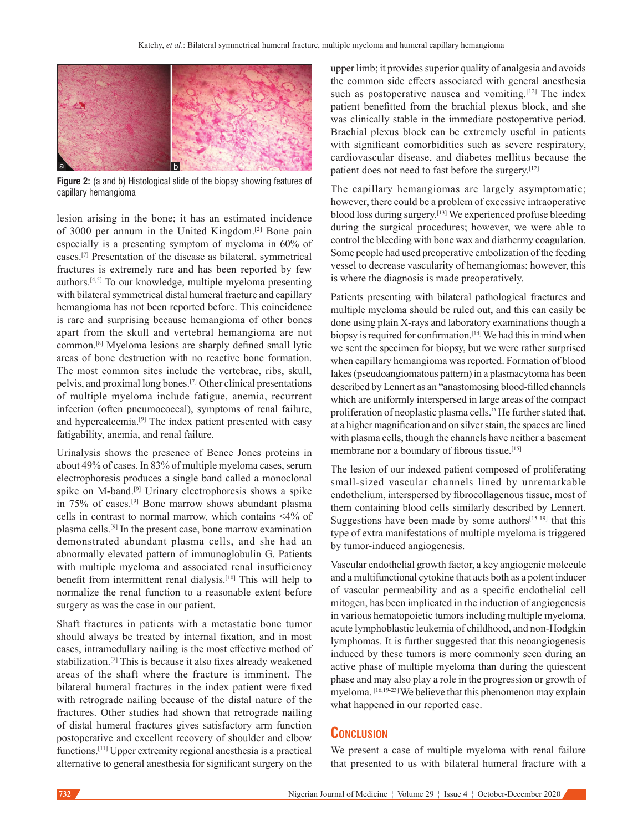

**Figure 2:** (a and b) Histological slide of the biopsy showing features of capillary hemangioma

lesion arising in the bone; it has an estimated incidence of 3000 per annum in the United Kingdom.[2] Bone pain especially is a presenting symptom of myeloma in 60% of cases.[7] Presentation of the disease as bilateral, symmetrical fractures is extremely rare and has been reported by few authors.[4,5] To our knowledge, multiple myeloma presenting with bilateral symmetrical distal humeral fracture and capillary hemangioma has not been reported before. This coincidence is rare and surprising because hemangioma of other bones apart from the skull and vertebral hemangioma are not common.[8] Myeloma lesions are sharply defined small lytic areas of bone destruction with no reactive bone formation. The most common sites include the vertebrae, ribs, skull, pelvis, and proximal long bones.[7] Other clinical presentations of multiple myeloma include fatigue, anemia, recurrent infection (often pneumococcal), symptoms of renal failure, and hypercalcemia.<sup>[9]</sup> The index patient presented with easy fatigability, anemia, and renal failure.

Urinalysis shows the presence of Bence Jones proteins in about 49% of cases. In 83% of multiple myeloma cases, serum electrophoresis produces a single band called a monoclonal spike on M-band.<sup>[9]</sup> Urinary electrophoresis shows a spike in 75% of cases.[9] Bone marrow shows abundant plasma cells in contrast to normal marrow, which contains <4% of plasma cells.[9] In the present case, bone marrow examination demonstrated abundant plasma cells, and she had an abnormally elevated pattern of immunoglobulin G. Patients with multiple myeloma and associated renal insufficiency benefit from intermittent renal dialysis.[10] This will help to normalize the renal function to a reasonable extent before surgery as was the case in our patient.

Shaft fractures in patients with a metastatic bone tumor should always be treated by internal fixation, and in most cases, intramedullary nailing is the most effective method of stabilization.[2] This is because it also fixes already weakened areas of the shaft where the fracture is imminent. The bilateral humeral fractures in the index patient were fixed with retrograde nailing because of the distal nature of the fractures. Other studies had shown that retrograde nailing of distal humeral fractures gives satisfactory arm function postoperative and excellent recovery of shoulder and elbow functions.[11] Upper extremity regional anesthesia is a practical alternative to general anesthesia for significant surgery on the

upper limb; it provides superior quality of analgesia and avoids the common side effects associated with general anesthesia such as postoperative nausea and vomiting.<sup>[12]</sup> The index patient benefitted from the brachial plexus block, and she was clinically stable in the immediate postoperative period. Brachial plexus block can be extremely useful in patients with significant comorbidities such as severe respiratory, cardiovascular disease, and diabetes mellitus because the patient does not need to fast before the surgery.<sup>[12]</sup>

The capillary hemangiomas are largely asymptomatic; however, there could be a problem of excessive intraoperative blood loss during surgery.[13] We experienced profuse bleeding during the surgical procedures; however, we were able to control the bleeding with bone wax and diathermy coagulation. Some people had used preoperative embolization of the feeding vessel to decrease vascularity of hemangiomas; however, this is where the diagnosis is made preoperatively.

Patients presenting with bilateral pathological fractures and multiple myeloma should be ruled out, and this can easily be done using plain X‑rays and laboratory examinations though a biopsy is required for confirmation.<sup>[14]</sup> We had this in mind when we sent the specimen for biopsy, but we were rather surprised when capillary hemangioma was reported. Formation of blood lakes(pseudoangiomatous pattern) in a plasmacytoma has been described by Lennert as an "anastomosing blood-filled channels which are uniformly interspersed in large areas of the compact proliferation of neoplastic plasma cells." He further stated that, at a higher magnification and on silver stain, the spaces are lined with plasma cells, though the channels have neither a basement membrane nor a boundary of fibrous tissue.[15]

The lesion of our indexed patient composed of proliferating small-sized vascular channels lined by unremarkable endothelium, interspersed by fibrocollagenous tissue, most of them containing blood cells similarly described by Lennert. Suggestions have been made by some authors $[15-19]$  that this type of extra manifestations of multiple myeloma is triggered by tumor-induced angiogenesis.

Vascular endothelial growth factor, a key angiogenic molecule and a multifunctional cytokine that acts both as a potent inducer of vascular permeability and as a specific endothelial cell mitogen, has been implicated in the induction of angiogenesis in various hematopoietic tumors including multiple myeloma, acute lymphoblastic leukemia of childhood, and non‑Hodgkin lymphomas. It is further suggested that this neoangiogenesis induced by these tumors is more commonly seen during an active phase of multiple myeloma than during the quiescent phase and may also play a role in the progression or growth of myeloma. [16,19-23] We believe that this phenomenon may explain what happened in our reported case.

## **Conclusion**

We present a case of multiple myeloma with renal failure that presented to us with bilateral humeral fracture with a